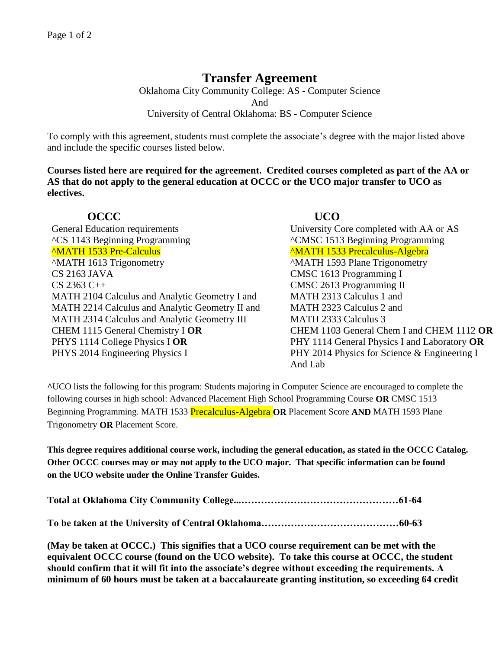# **Transfer Agreement**

Oklahoma City Community College: AS - Computer Science And University of Central Oklahoma: BS - Computer Science

To comply with this agreement, students must complete the associate's degree with the major listed above and include the specific courses listed below.

**Courses listed here are required for the agreement. Credited courses completed as part of the AA or AS that do not apply to the general education at OCCC or the UCO major transfer to UCO as electives.**

## **OCCC UCO**

General Education requirements University Core completed with AA or AS ^CS 1143 Beginning Programming ^CMSC 1513 Beginning Programming <sup>^</sup>MATH 1533 Pre-Calculus <sup>^</sup>MATH 1533 Precalculus-Algebra ^MATH 1613 Trigonometry ^MATH 1593 Plane Trigonometry CS 2163 JAVA CMSC 1613 Programming I CS 2363 C++ CMSC 2613 Programming II MATH 2104 Calculus and Analytic Geometry I and MATH 2313 Calculus 1 and MATH 2214 Calculus and Analytic Geometry II and MATH 2323 Calculus 2 and MATH 2314 Calculus and Analytic Geometry III MATH 2333 Calculus 3 CHEM 1115 General Chemistry I **OR** CHEM 1103 General Chem I and CHEM 1112 **OR** PHYS 1114 College Physics I OR PHY 1114 General Physics I and Laboratory OR PHYS 2014 Engineering Physics I PHY 2014 Physics for Science & Engineering I

And Lab

**^**UCO lists the following for this program: Students majoring in Computer Science are encouraged to complete the following courses in high school: Advanced Placement High School Programming Course **OR** CMSC 1513 Beginning Programming. MATH 1533 Precalculus-Algebra **OR** Placement Score **AND** MATH 1593 Plane Trigonometry **OR** Placement Score.

**This degree requires additional course work, including the general education, as stated in the OCCC Catalog. Other OCCC courses may or may not apply to the UCO major. That specific information can be found on the UCO website under the Online Transfer Guides.** 

**(May be taken at OCCC.) This signifies that a UCO course requirement can be met with the equivalent OCCC course (found on the UCO website). To take this course at OCCC, the student should confirm that it will fit into the associate's degree without exceeding the requirements. A minimum of 60 hours must be taken at a baccalaureate granting institution, so exceeding 64 credit**